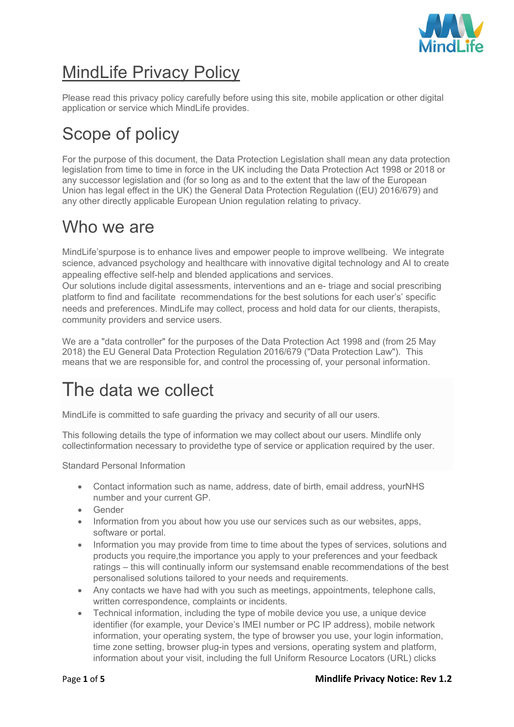

# MindLife Privacy Policy

Please read this privacy policy carefully before using this site, mobile application or other digital application or service which MindLife provides.

# Scope of policy

For the purpose of this document, the Data Protection Legislation shall mean any data protection legislation from time to time in force in the UK including the Data Protection Act 1998 or 2018 or any successor legislation and (for so long as and to the extent that the law of the European Union has legal effect in the UK) the General Data Protection Regulation ((EU) 2016/679) and any other directly applicable European Union regulation relating to privacy.

#### Who we are

MindLife'spurpose is to enhance lives and empower people to improve wellbeing. We integrate science, advanced psychology and healthcare with innovative digital technology and AI to create appealing effective self-help and blended applications and services.

Our solutions include digital assessments, interventions and an e- triage and social prescribing platform to find and facilitate recommendations for the best solutions for each user's' specific needs and preferences. MindLife may collect, process and hold data for our clients, therapists, community providers and service users.

We are a "data controller" for the purposes of the Data Protection Act 1998 and (from 25 May 2018) the EU General Data Protection Regulation 2016/679 ("Data Protection Law"). This means that we are responsible for, and control the processing of, your personal information.

# The data we collect

MindLife is committed to safe guarding the privacy and security of all our users.

This following details the type of information we may collect about our users. Mindlife only collectinformation necessary to providethe type of service or application required by the user.

Standard Personal Information

- Contact information such as name, address, date of birth, email address, yourNHS number and your current GP.
- Gender
- Information from you about how you use our services such as our websites, apps, software or portal.
- Information you may provide from time to time about the types of services, solutions and products you require,the importance you apply to your preferences and your feedback ratings – this will continually inform our systemsand enable recommendations of the best personalised solutions tailored to your needs and requirements.
- Any contacts we have had with you such as meetings, appointments, telephone calls, written correspondence, complaints or incidents.
- Technical information, including the type of mobile device you use, a unique device identifier (for example, your Device's IMEI number or PC IP address), mobile network information, your operating system, the type of browser you use, your login information, time zone setting, browser plug-in types and versions, operating system and platform, information about your visit, including the full Uniform Resource Locators (URL) clicks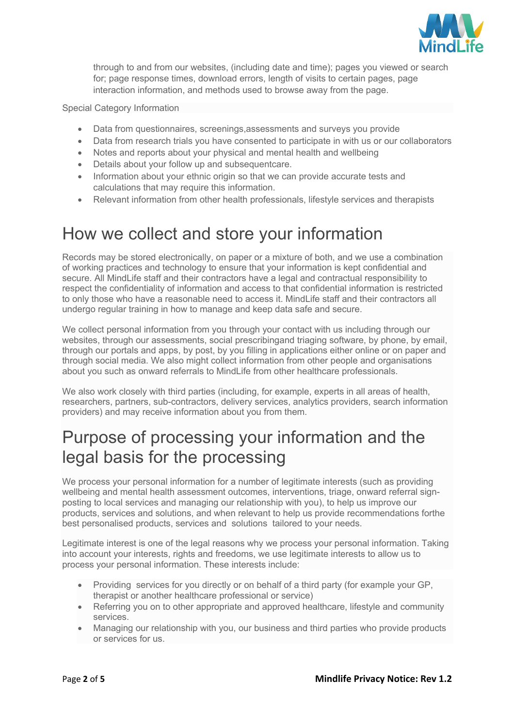

through to and from our websites, (including date and time); pages you viewed or search for; page response times, download errors, length of visits to certain pages, page interaction information, and methods used to browse away from the page.

Special Category Information

- Data from questionnaires, screenings,assessments and surveys you provide
- Data from research trials you have consented to participate in with us or our collaborators
- Notes and reports about your physical and mental health and wellbeing
- Details about your follow up and subsequentcare.
- Information about your ethnic origin so that we can provide accurate tests and calculations that may require this information.
- Relevant information from other health professionals, lifestyle services and therapists

#### How we collect and store your information

Records may be stored electronically, on paper or a mixture of both, and we use a combination of working practices and technology to ensure that your information is kept confidential and secure. All MindLife staff and their contractors have a legal and contractual responsibility to respect the confidentiality of information and access to that confidential information is restricted to only those who have a reasonable need to access it. MindLife staff and their contractors all undergo regular training in how to manage and keep data safe and secure.

We collect personal information from you through your contact with us including through our websites, through our assessments, social prescribingand triaging software, by phone, by email, through our portals and apps, by post, by you filling in applications either online or on paper and through social media. We also might collect information from other people and organisations about you such as onward referrals to MindLife from other healthcare professionals.

We also work closely with third parties (including, for example, experts in all areas of health, researchers, partners, sub-contractors, delivery services, analytics providers, search information providers) and may receive information about you from them.

#### Purpose of processing your information and the legal basis for the processing

We process your personal information for a number of legitimate interests (such as providing wellbeing and mental health assessment outcomes, interventions, triage, onward referral signposting to local services and managing our relationship with you), to help us improve our products, services and solutions, and when relevant to help us provide recommendations forthe best personalised products, services and solutions tailored to your needs.

Legitimate interest is one of the legal reasons why we process your personal information. Taking into account your interests, rights and freedoms, we use legitimate interests to allow us to process your personal information. These interests include:

- Providing services for you directly or on behalf of a third party (for example your GP, therapist or another healthcare professional or service)
- Referring you on to other appropriate and approved healthcare, lifestyle and community services.
- Managing our relationship with you, our business and third parties who provide products or services for us.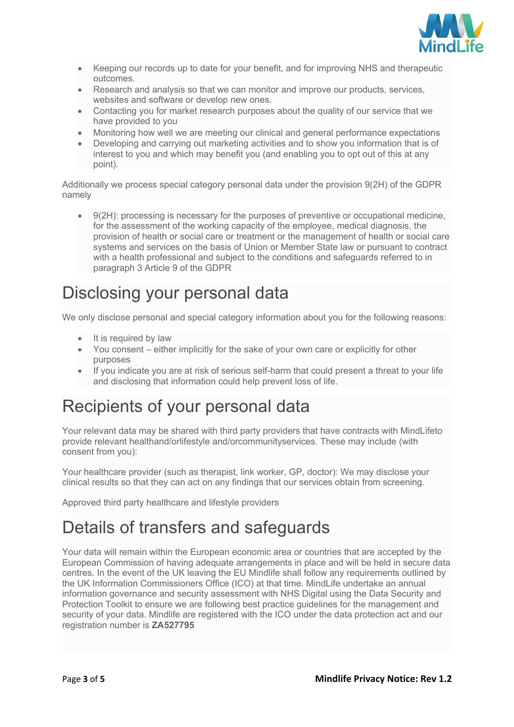

- Keeping our records up to date for your benefit, and for improving NHS and therapeutic outcomes.
- Research and analysis so that we can monitor and improve our products, services, websites and software or develop new ones.
- Contacting you for market research purposes about the quality of our service that we have provided to you
- Monitoring how well we are meeting our clinical and general performance expectations
- Developing and carrying out marketing activities and to show you information that is of interest to you and which may benefit you (and enabling you to opt out of this at any point).

Additionally we process special category personal data under the provision 9(2H) of the GDPR namely

• 9(2H): processing is necessary for the purposes of preventive or occupational medicine, for the assessment of the working capacity of the employee, medical diagnosis, the provision of health or social care or treatment or the management of health or social care systems and services on the basis of Union or Member State law or pursuant to contract with a health professional and subject to the conditions and safeguards referred to in paragraph 3 Article 9 of the GDPR

### Disclosing your personal data

We only disclose personal and special category information about you for the following reasons:

- It is required by law
- You consent either implicitly for the sake of your own care or explicitly for other purposes
- If you indicate you are at risk of serious self-harm that could present a threat to your life and disclosing that information could help prevent loss of life.

#### Recipients of your personal data

Your relevant data may be shared with third party providers that have contracts with MindLifeto provide relevant healthand/orlifestyle and/orcommunityservices. These may include (with consent from you):

Your healthcare provider (such as therapist, link worker, GP, doctor): We may disclose your clinical results so that they can act on any findings that our services obtain from screening.

Approved third party healthcare and lifestyle providers

## Details of transfers and safeguards

Your data will remain within the European economic area or countries that are accepted by the European Commission of having adequate arrangements in place and will be held in secure data centres. In the event of the UK leaving the EU Mindlife shall follow any requirements outlined by the UK Information Commissioners Office (ICO) at that time. MindLife undertake an annual information governance and security assessment with NHS Digital using the Data Security and Protection Toolkit to ensure we are following best practice guidelines for the management and security of your data. Mindlife are registered with the ICO under the data protection act and our registration number is **ZA527795**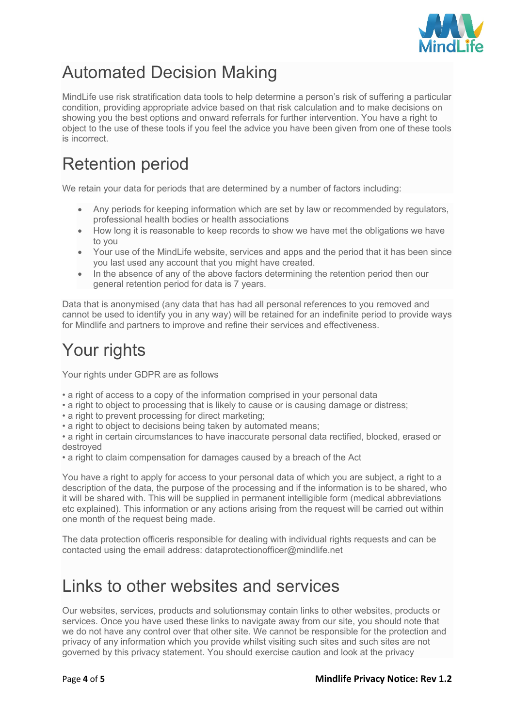

## Automated Decision Making

MindLife use risk stratification data tools to help determine a person's risk of suffering a particular condition, providing appropriate advice based on that risk calculation and to make decisions on showing you the best options and onward referrals for further intervention. You have a right to object to the use of these tools if you feel the advice you have been given from one of these tools is incorrect.

## Retention period

We retain your data for periods that are determined by a number of factors including:

- Any periods for keeping information which are set by law or recommended by regulators, professional health bodies or health associations
- How long it is reasonable to keep records to show we have met the obligations we have to you
- Your use of the MindLife website, services and apps and the period that it has been since you last used any account that you might have created.
- In the absence of any of the above factors determining the retention period then our general retention period for data is 7 years.

Data that is anonymised (any data that has had all personal references to you removed and cannot be used to identify you in any way) will be retained for an indefinite period to provide ways for Mindlife and partners to improve and refine their services and effectiveness.

# Your rights

Your rights under GDPR are as follows

- a right of access to a copy of the information comprised in your personal data
- a right to object to processing that is likely to cause or is causing damage or distress;
- a right to prevent processing for direct marketing;
- a right to object to decisions being taken by automated means;

• a right in certain circumstances to have inaccurate personal data rectified, blocked, erased or destroyed

• a right to claim compensation for damages caused by a breach of the Act

You have a right to apply for access to your personal data of which you are subject, a right to a description of the data, the purpose of the processing and if the information is to be shared, who it will be shared with. This will be supplied in permanent intelligible form (medical abbreviations etc explained). This information or any actions arising from the request will be carried out within one month of the request being made.

The data protection officeris responsible for dealing with individual rights requests and can be contacted using the email address: dataprotectionofficer@mindlife.net

## Links to other websites and services

Our websites, services, products and solutionsmay contain links to other websites, products or services. Once you have used these links to navigate away from our site, you should note that we do not have any control over that other site. We cannot be responsible for the protection and privacy of any information which you provide whilst visiting such sites and such sites are not governed by this privacy statement. You should exercise caution and look at the privacy